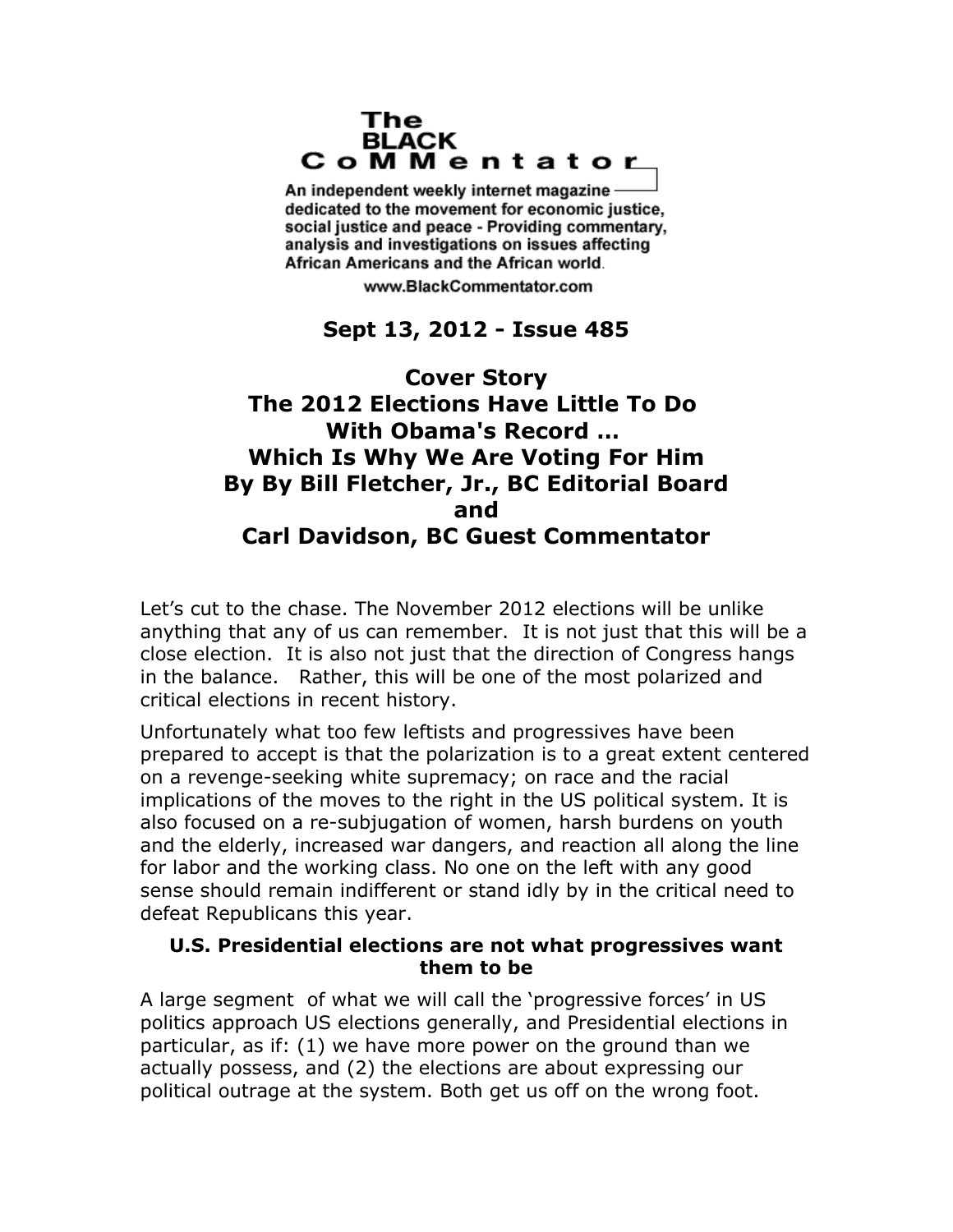#### The **BLACK** CoMMentator

An independent weekly internet magazine dedicated to the movement for economic justice. social justice and peace - Providing commentary, analysis and investigations on issues affecting African Americans and the African world.

www.BlackCommentator.com

# **Sept 13, 2012 - Issue 485**

# **Cover Story The 2012 Elections Have Little To Do With Obama's Record … Which Is Why We Are Voting For Him By By Bill Fletcher, Jr., BC Editorial Board and Carl Davidson, BC Guest Commentator**

Let's cut to the chase. The November 2012 elections will be unlike anything that any of us can remember. It is not just that this will be a close election. It is also not just that the direction of Congress hangs in the balance. Rather, this will be one of the most polarized and critical elections in recent history.

Unfortunately what too few leftists and progressives have been prepared to accept is that the polarization is to a great extent centered on a revenge-seeking white supremacy; on race and the racial implications of the moves to the right in the US political system. It is also focused on a re-subjugation of women, harsh burdens on youth and the elderly, increased war dangers, and reaction all along the line for labor and the working class. No one on the left with any good sense should remain indifferent or stand idly by in the critical need to defeat Republicans this year.

### **U.S. Presidential elections are not what progressives want them to be**

A large segment of what we will call the 'progressive forces' in US politics approach US elections generally, and Presidential elections in particular, as if: (1) we have more power on the ground than we actually possess, and (2) the elections are about expressing our political outrage at the system. Both get us off on the wrong foot.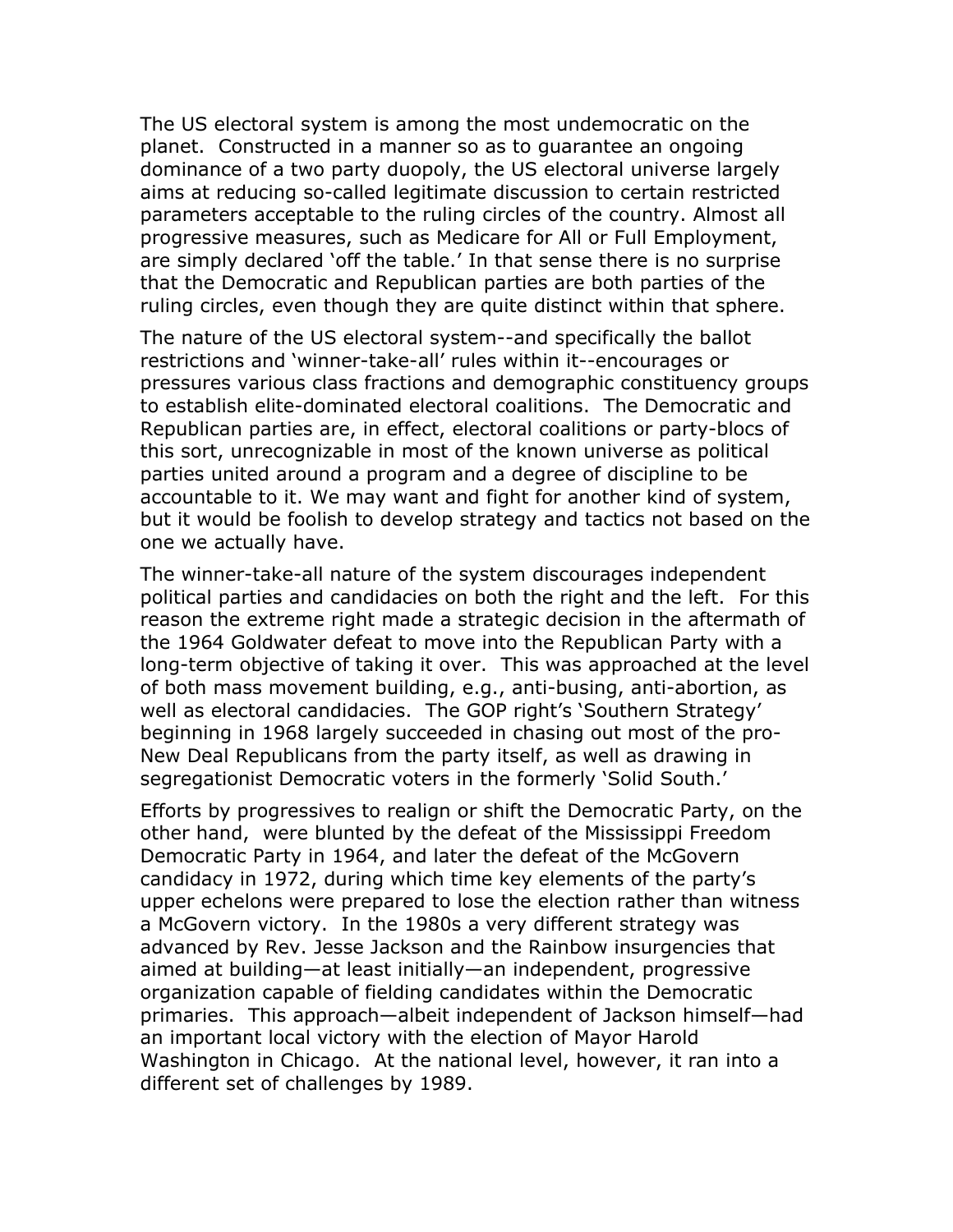The US electoral system is among the most undemocratic on the planet. Constructed in a manner so as to guarantee an ongoing dominance of a two party duopoly, the US electoral universe largely aims at reducing so-called legitimate discussion to certain restricted parameters acceptable to the ruling circles of the country. Almost all progressive measures, such as Medicare for All or Full Employment, are simply declared 'off the table.' In that sense there is no surprise that the Democratic and Republican parties are both parties of the ruling circles, even though they are quite distinct within that sphere.

The nature of the US electoral system--and specifically the ballot restrictions and 'winner-take-all' rules within it--encourages or pressures various class fractions and demographic constituency groups to establish elite-dominated electoral coalitions. The Democratic and Republican parties are, in effect, electoral coalitions or party-blocs of this sort, unrecognizable in most of the known universe as political parties united around a program and a degree of discipline to be accountable to it. We may want and fight for another kind of system, but it would be foolish to develop strategy and tactics not based on the one we actually have.

The winner-take-all nature of the system discourages independent political parties and candidacies on both the right and the left. For this reason the extreme right made a strategic decision in the aftermath of the 1964 Goldwater defeat to move into the Republican Party with a long-term objective of taking it over. This was approached at the level of both mass movement building, e.g., anti-busing, anti-abortion, as well as electoral candidacies. The GOP right's 'Southern Strategy' beginning in 1968 largely succeeded in chasing out most of the pro-New Deal Republicans from the party itself, as well as drawing in segregationist Democratic voters in the formerly 'Solid South.'

Efforts by progressives to realign or shift the Democratic Party, on the other hand, were blunted by the defeat of the Mississippi Freedom Democratic Party in 1964, and later the defeat of the McGovern candidacy in 1972, during which time key elements of the party's upper echelons were prepared to lose the election rather than witness a McGovern victory. In the 1980s a very different strategy was advanced by Rev. Jesse Jackson and the Rainbow insurgencies that aimed at building—at least initially—an independent, progressive organization capable of fielding candidates within the Democratic primaries. This approach—albeit independent of Jackson himself—had an important local victory with the election of Mayor Harold Washington in Chicago. At the national level, however, it ran into a different set of challenges by 1989.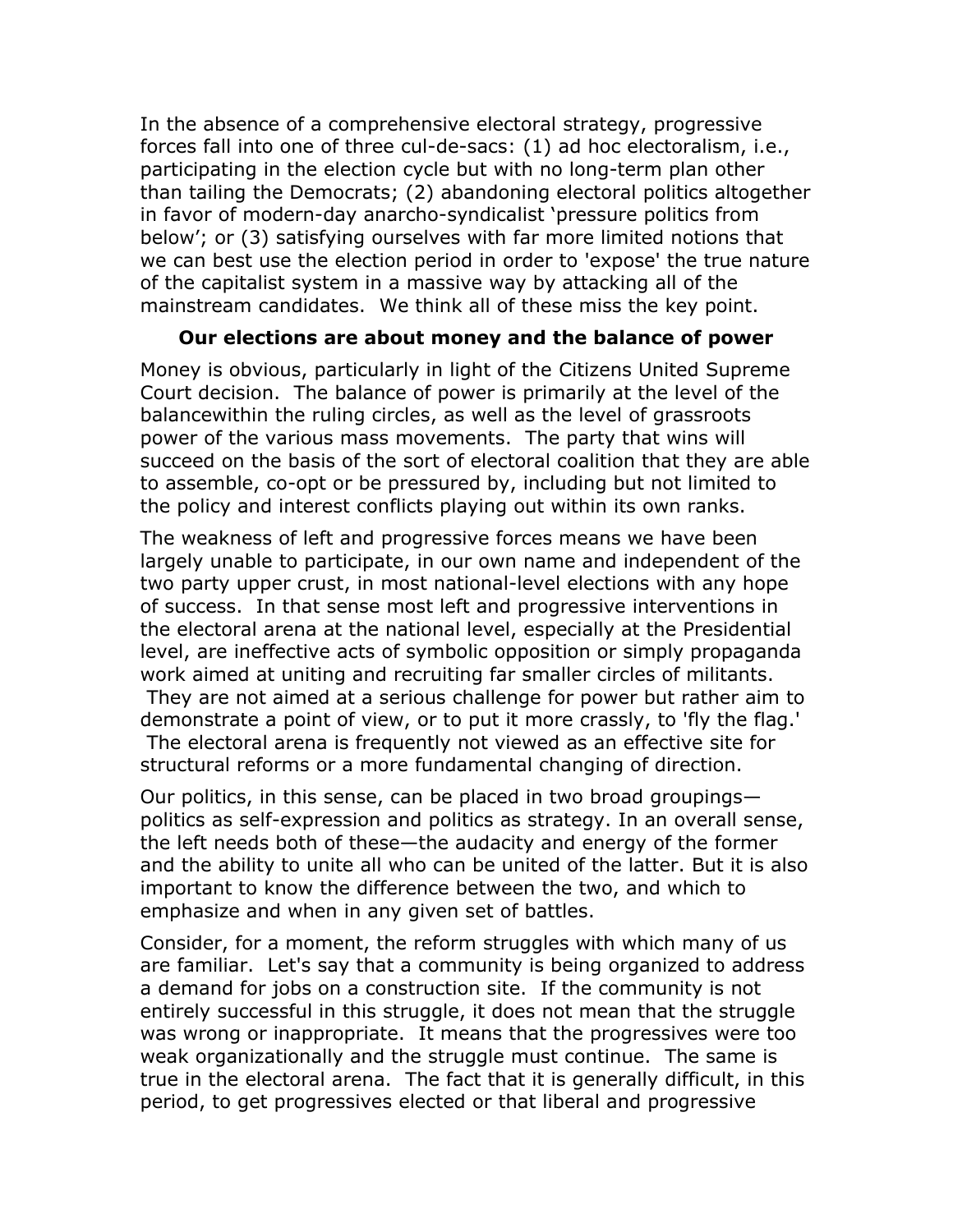In the absence of a comprehensive electoral strategy, progressive forces fall into one of three cul-de-sacs: (1) ad hoc electoralism, i.e., participating in the election cycle but with no long-term plan other than tailing the Democrats; (2) abandoning electoral politics altogether in favor of modern-day anarcho-syndicalist 'pressure politics from below'; or (3) satisfying ourselves with far more limited notions that we can best use the election period in order to 'expose' the true nature of the capitalist system in a massive way by attacking all of the mainstream candidates. We think all of these miss the key point.

### **Our elections are about money and the balance of power**

Money is obvious, particularly in light of the Citizens United Supreme Court decision. The balance of power is primarily at the level of the balancewithin the ruling circles, as well as the level of grassroots power of the various mass movements. The party that wins will succeed on the basis of the sort of electoral coalition that they are able to assemble, co-opt or be pressured by, including but not limited to the policy and interest conflicts playing out within its own ranks.

The weakness of left and progressive forces means we have been largely unable to participate, in our own name and independent of the two party upper crust, in most national-level elections with any hope of success. In that sense most left and progressive interventions in the electoral arena at the national level, especially at the Presidential level, are ineffective acts of symbolic opposition or simply propaganda work aimed at uniting and recruiting far smaller circles of militants. They are not aimed at a serious challenge for power but rather aim to demonstrate a point of view, or to put it more crassly, to 'fly the flag.' The electoral arena is frequently not viewed as an effective site for structural reforms or a more fundamental changing of direction.

Our politics, in this sense, can be placed in two broad groupings politics as self-expression and politics as strategy. In an overall sense, the left needs both of these—the audacity and energy of the former and the ability to unite all who can be united of the latter. But it is also important to know the difference between the two, and which to emphasize and when in any given set of battles.

Consider, for a moment, the reform struggles with which many of us are familiar. Let's say that a community is being organized to address a demand for jobs on a construction site. If the community is not entirely successful in this struggle, it does not mean that the struggle was wrong or inappropriate. It means that the progressives were too weak organizationally and the struggle must continue. The same is true in the electoral arena. The fact that it is generally difficult, in this period, to get progressives elected or that liberal and progressive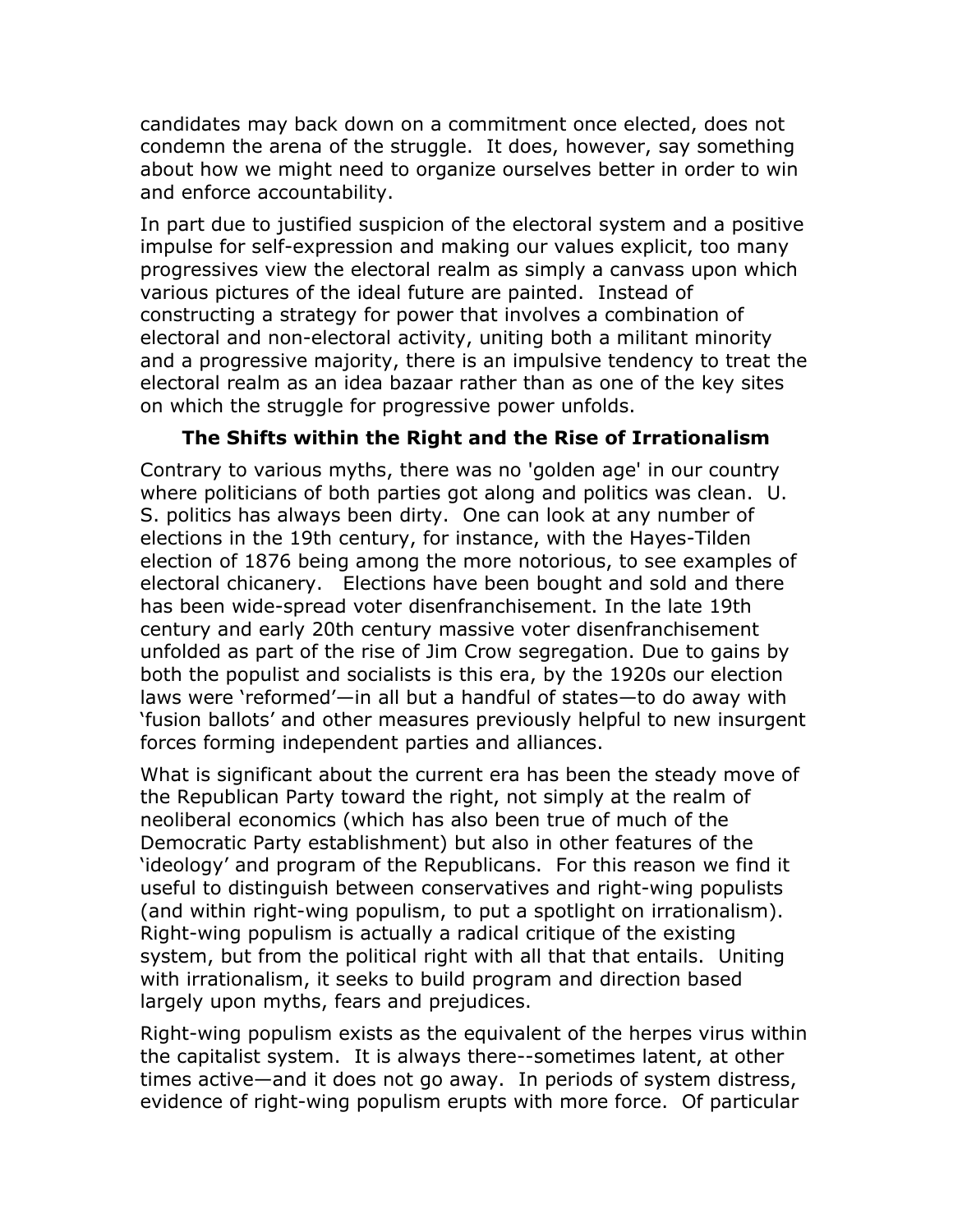candidates may back down on a commitment once elected, does not condemn the arena of the struggle. It does, however, say something about how we might need to organize ourselves better in order to win and enforce accountability.

In part due to justified suspicion of the electoral system and a positive impulse for self-expression and making our values explicit, too many progressives view the electoral realm as simply a canvass upon which various pictures of the ideal future are painted. Instead of constructing a strategy for power that involves a combination of electoral and non-electoral activity, uniting both a militant minority and a progressive majority, there is an impulsive tendency to treat the electoral realm as an idea bazaar rather than as one of the key sites on which the struggle for progressive power unfolds.

### **The Shifts within the Right and the Rise of Irrationalism**

Contrary to various myths, there was no 'golden age' in our country where politicians of both parties got along and politics was clean. U. S. politics has always been dirty. One can look at any number of elections in the 19th century, for instance, with the Hayes-Tilden election of 1876 being among the more notorious, to see examples of electoral chicanery. Elections have been bought and sold and there has been wide-spread voter disenfranchisement. In the late 19th century and early 20th century massive voter disenfranchisement unfolded as part of the rise of Jim Crow segregation. Due to gains by both the populist and socialists is this era, by the 1920s our election laws were 'reformed'—in all but a handful of states—to do away with 'fusion ballots' and other measures previously helpful to new insurgent forces forming independent parties and alliances.

What is significant about the current era has been the steady move of the Republican Party toward the right, not simply at the realm of neoliberal economics (which has also been true of much of the Democratic Party establishment) but also in other features of the 'ideology' and program of the Republicans. For this reason we find it useful to distinguish between conservatives and right-wing populists (and within right-wing populism, to put a spotlight on irrationalism). Right-wing populism is actually a radical critique of the existing system, but from the political right with all that that entails. Uniting with irrationalism, it seeks to build program and direction based largely upon myths, fears and prejudices.

Right-wing populism exists as the equivalent of the herpes virus within the capitalist system. It is always there--sometimes latent, at other times active—and it does not go away. In periods of system distress, evidence of right-wing populism erupts with more force. Of particular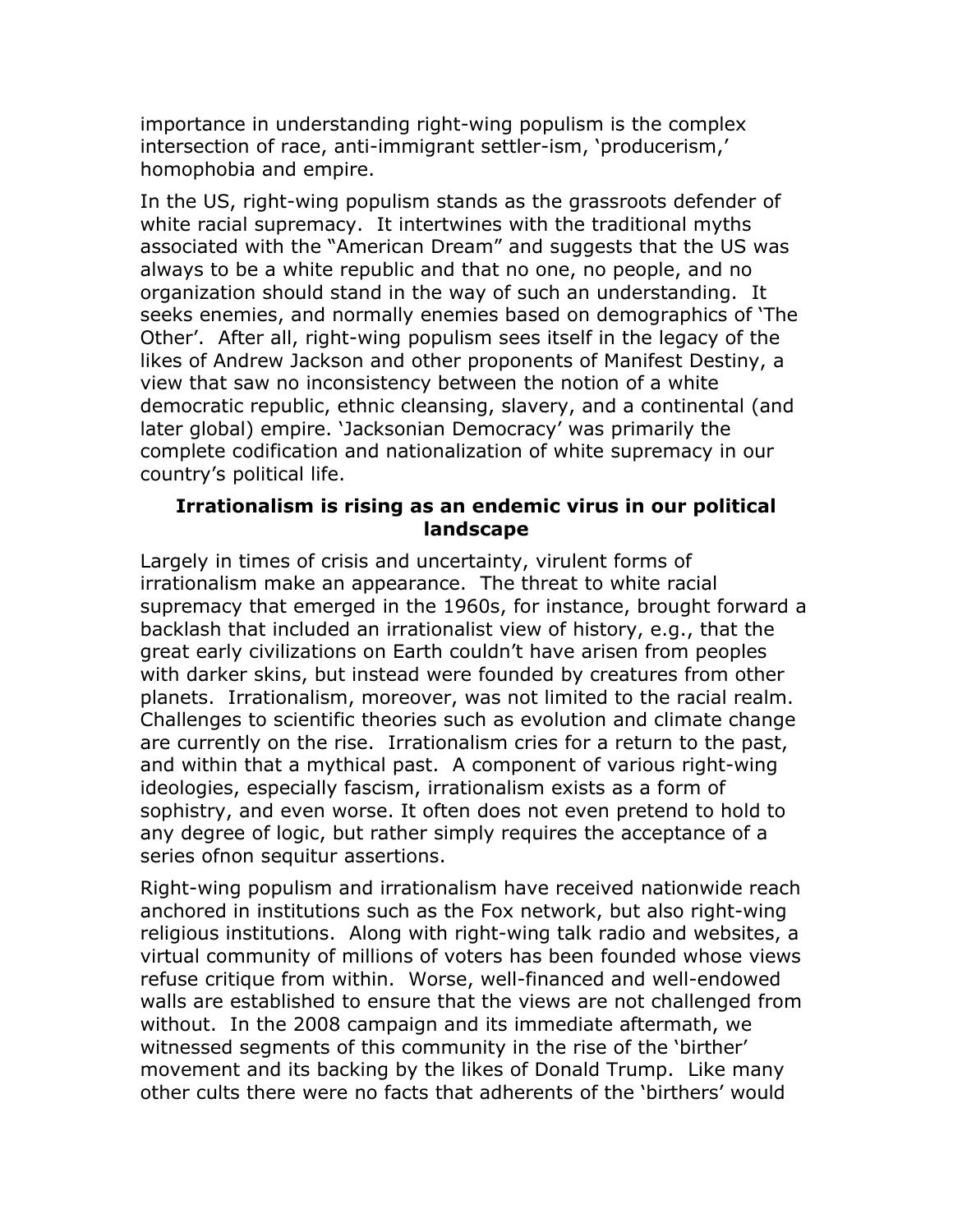importance in understanding right-wing populism is the complex intersection of race, anti-immigrant settler-ism, 'producerism,' homophobia and empire.

In the US, right-wing populism stands as the grassroots defender of white racial supremacy. It intertwines with the traditional myths associated with the "American Dream" and suggests that the US was always to be a white republic and that no one, no people, and no organization should stand in the way of such an understanding. It seeks enemies, and normally enemies based on demographics of 'The Other'. After all, right-wing populism sees itself in the legacy of the likes of Andrew Jackson and other proponents of Manifest Destiny, a view that saw no inconsistency between the notion of a white democratic republic, ethnic cleansing, slavery, and a continental (and later global) empire. 'Jacksonian Democracy' was primarily the complete codification and nationalization of white supremacy in our country's political life.

#### **Irrationalism is rising as an endemic virus in our political landscape**

Largely in times of crisis and uncertainty, virulent forms of irrationalism make an appearance. The threat to white racial supremacy that emerged in the 1960s, for instance, brought forward a backlash that included an irrationalist view of history, e.g., that the great early civilizations on Earth couldn't have arisen from peoples with darker skins, but instead were founded by creatures from other planets. Irrationalism, moreover, was not limited to the racial realm. Challenges to scientific theories such as evolution and climate change are currently on the rise. Irrationalism cries for a return to the past, and within that a mythical past. A component of various right-wing ideologies, especially fascism, irrationalism exists as a form of sophistry, and even worse. It often does not even pretend to hold to any degree of logic, but rather simply requires the acceptance of a series ofnon sequitur assertions.

Right-wing populism and irrationalism have received nationwide reach anchored in institutions such as the Fox network, but also right-wing religious institutions. Along with right-wing talk radio and websites, a virtual community of millions of voters has been founded whose views refuse critique from within. Worse, well-financed and well-endowed walls are established to ensure that the views are not challenged from without. In the 2008 campaign and its immediate aftermath, we witnessed segments of this community in the rise of the 'birther' movement and its backing by the likes of Donald Trump. Like many other cults there were no facts that adherents of the 'birthers' would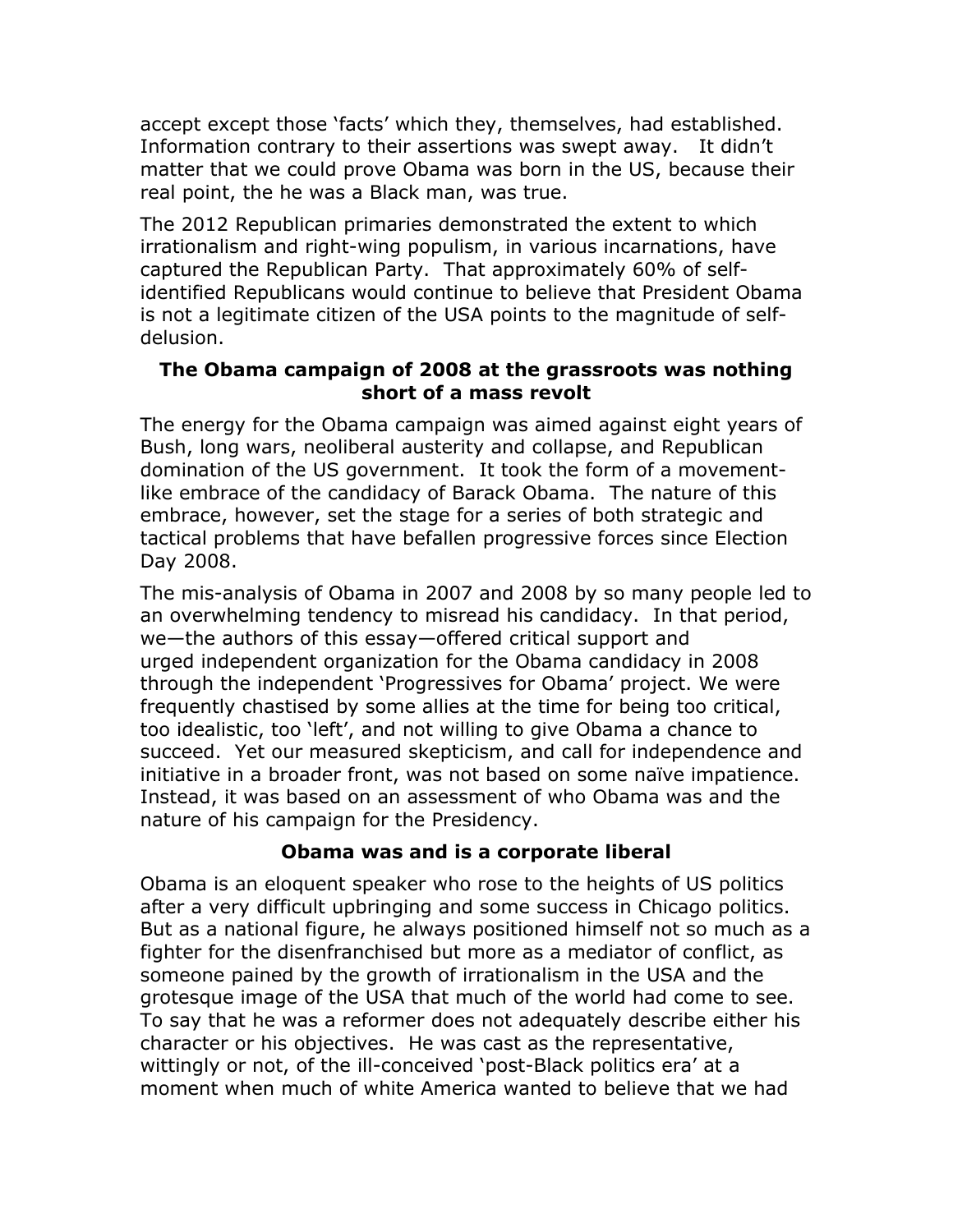accept except those 'facts' which they, themselves, had established. Information contrary to their assertions was swept away. It didn't matter that we could prove Obama was born in the US, because their real point, the he was a Black man, was true.

The 2012 Republican primaries demonstrated the extent to which irrationalism and right-wing populism, in various incarnations, have captured the Republican Party. That approximately 60% of selfidentified Republicans would continue to believe that President Obama is not a legitimate citizen of the USA points to the magnitude of selfdelusion.

### **The Obama campaign of 2008 at the grassroots was nothing short of a mass revolt**

The energy for the Obama campaign was aimed against eight years of Bush, long wars, neoliberal austerity and collapse, and Republican domination of the US government. It took the form of a movementlike embrace of the candidacy of Barack Obama. The nature of this embrace, however, set the stage for a series of both strategic and tactical problems that have befallen progressive forces since Election Day 2008.

The mis-analysis of Obama in 2007 and 2008 by so many people led to an overwhelming tendency to misread his candidacy. In that period, we—the authors of this essay—offered critical support and urged independent organization for the Obama candidacy in 2008 through the independent 'Progressives for Obama' project. We were frequently chastised by some allies at the time for being too critical, too idealistic, too 'left', and not willing to give Obama a chance to succeed. Yet our measured skepticism, and call for independence and initiative in a broader front, was not based on some naïve impatience. Instead, it was based on an assessment of who Obama was and the nature of his campaign for the Presidency.

## **Obama was and is a corporate liberal**

Obama is an eloquent speaker who rose to the heights of US politics after a very difficult upbringing and some success in Chicago politics. But as a national figure, he always positioned himself not so much as a fighter for the disenfranchised but more as a mediator of conflict, as someone pained by the growth of irrationalism in the USA and the grotesque image of the USA that much of the world had come to see. To say that he was a reformer does not adequately describe either his character or his objectives. He was cast as the representative, wittingly or not, of the ill-conceived 'post-Black politics era' at a moment when much of white America wanted to believe that we had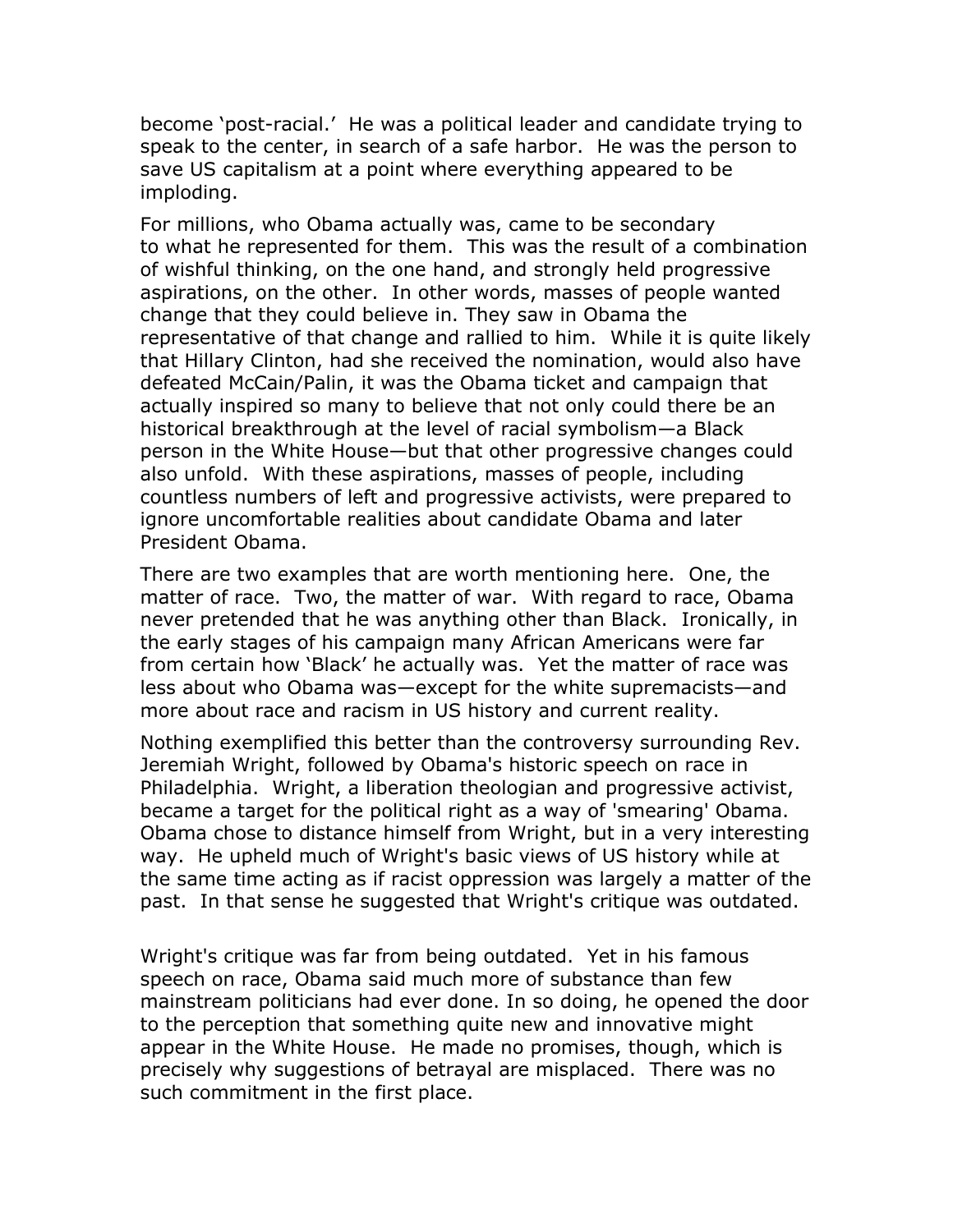become 'post-racial.' He was a political leader and candidate trying to speak to the center, in search of a safe harbor. He was the person to save US capitalism at a point where everything appeared to be imploding.

For millions, who Obama actually was, came to be secondary to what he represented for them. This was the result of a combination of wishful thinking, on the one hand, and strongly held progressive aspirations, on the other. In other words, masses of people wanted change that they could believe in. They saw in Obama the representative of that change and rallied to him. While it is quite likely that Hillary Clinton, had she received the nomination, would also have defeated McCain/Palin, it was the Obama ticket and campaign that actually inspired so many to believe that not only could there be an historical breakthrough at the level of racial symbolism—a Black person in the White House—but that other progressive changes could also unfold. With these aspirations, masses of people, including countless numbers of left and progressive activists, were prepared to ignore uncomfortable realities about candidate Obama and later President Obama.

There are two examples that are worth mentioning here. One, the matter of race. Two, the matter of war. With regard to race, Obama never pretended that he was anything other than Black. Ironically, in the early stages of his campaign many African Americans were far from certain how 'Black' he actually was. Yet the matter of race was less about who Obama was—except for the white supremacists—and more about race and racism in US history and current reality.

Nothing exemplified this better than the controversy surrounding Rev. Jeremiah Wright, followed by Obama's historic speech on race in Philadelphia. Wright, a liberation theologian and progressive activist, became a target for the political right as a way of 'smearing' Obama. Obama chose to distance himself from Wright, but in a very interesting way. He upheld much of Wright's basic views of US history while at the same time acting as if racist oppression was largely a matter of the past. In that sense he suggested that Wright's critique was outdated.

Wright's critique was far from being outdated. Yet in his famous speech on race, Obama said much more of substance than few mainstream politicians had ever done. In so doing, he opened the door to the perception that something quite new and innovative might appear in the White House. He made no promises, though, which is precisely why suggestions of betrayal are misplaced. There was no such commitment in the first place.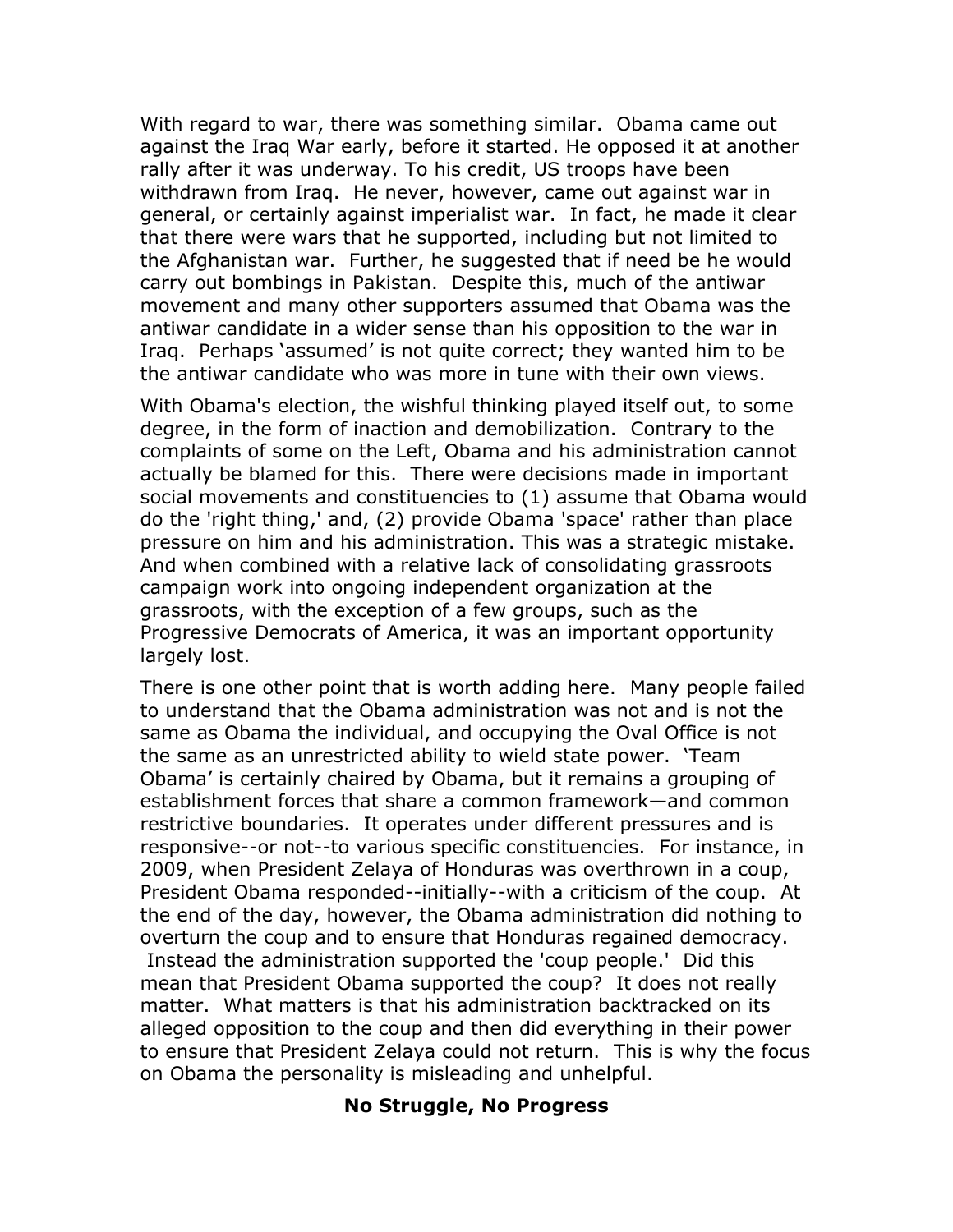With regard to war, there was something similar. Obama came out against the Iraq War early, before it started. He opposed it at another rally after it was underway. To his credit, US troops have been withdrawn from Iraq. He never, however, came out against war in general, or certainly against imperialist war. In fact, he made it clear that there were wars that he supported, including but not limited to the Afghanistan war. Further, he suggested that if need be he would carry out bombings in Pakistan. Despite this, much of the antiwar movement and many other supporters assumed that Obama was the antiwar candidate in a wider sense than his opposition to the war in Iraq. Perhaps 'assumed' is not quite correct; they wanted him to be the antiwar candidate who was more in tune with their own views.

With Obama's election, the wishful thinking played itself out, to some degree, in the form of inaction and demobilization. Contrary to the complaints of some on the Left, Obama and his administration cannot actually be blamed for this. There were decisions made in important social movements and constituencies to (1) assume that Obama would do the 'right thing,' and, (2) provide Obama 'space' rather than place pressure on him and his administration. This was a strategic mistake. And when combined with a relative lack of consolidating grassroots campaign work into ongoing independent organization at the grassroots, with the exception of a few groups, such as the Progressive Democrats of America, it was an important opportunity largely lost.

There is one other point that is worth adding here. Many people failed to understand that the Obama administration was not and is not the same as Obama the individual, and occupying the Oval Office is not the same as an unrestricted ability to wield state power. 'Team Obama' is certainly chaired by Obama, but it remains a grouping of establishment forces that share a common framework—and common restrictive boundaries. It operates under different pressures and is responsive--or not--to various specific constituencies. For instance, in 2009, when President Zelaya of Honduras was overthrown in a coup, President Obama responded--initially--with a criticism of the coup. At the end of the day, however, the Obama administration did nothing to overturn the coup and to ensure that Honduras regained democracy. Instead the administration supported the 'coup people.' Did this mean that President Obama supported the coup? It does not really matter. What matters is that his administration backtracked on its alleged opposition to the coup and then did everything in their power to ensure that President Zelaya could not return. This is why the focus on Obama the personality is misleading and unhelpful.

#### **No Struggle, No Progress**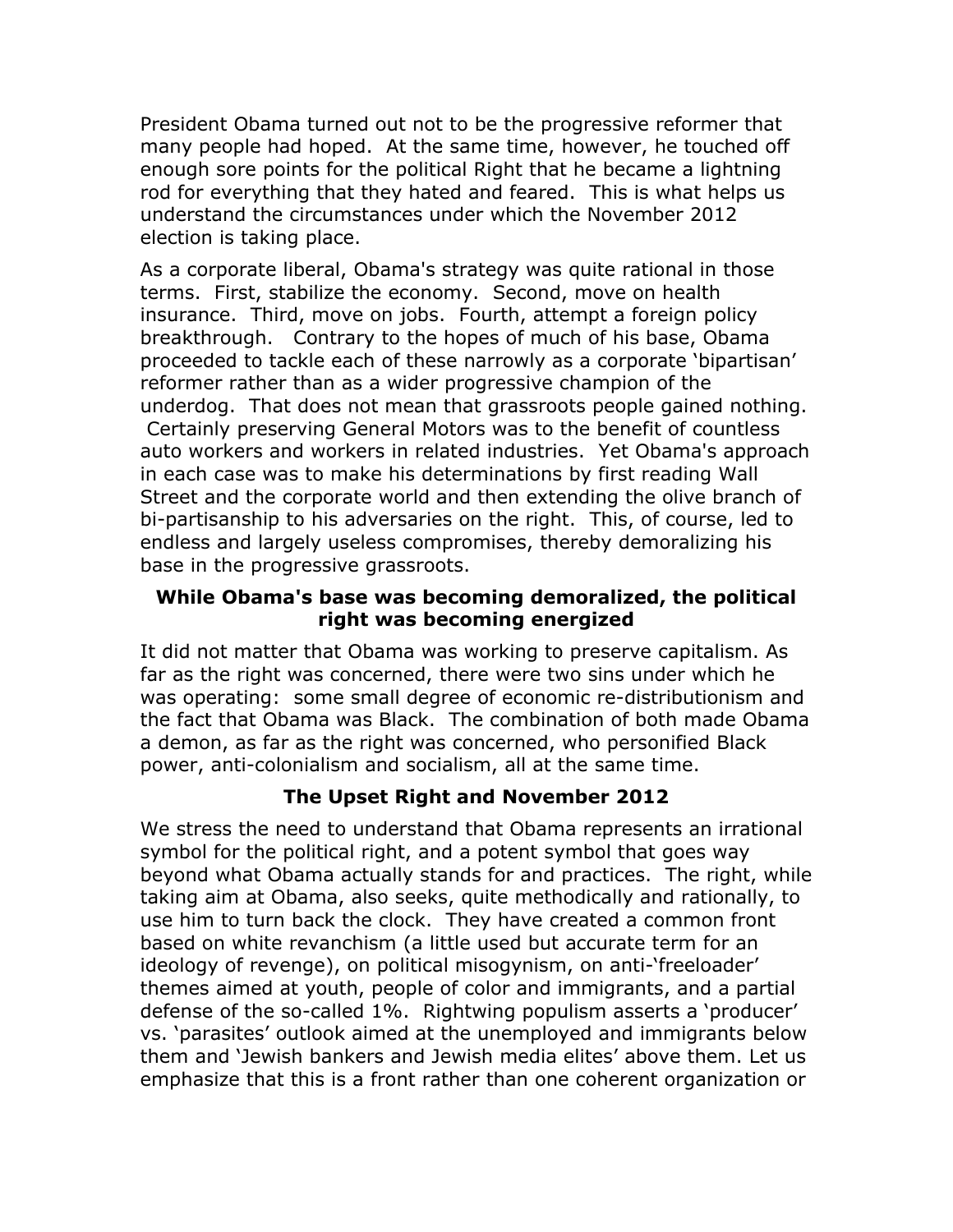President Obama turned out not to be the progressive reformer that many people had hoped. At the same time, however, he touched off enough sore points for the political Right that he became a lightning rod for everything that they hated and feared. This is what helps us understand the circumstances under which the November 2012 election is taking place.

As a corporate liberal, Obama's strategy was quite rational in those terms. First, stabilize the economy. Second, move on health insurance. Third, move on jobs. Fourth, attempt a foreign policy breakthrough. Contrary to the hopes of much of his base, Obama proceeded to tackle each of these narrowly as a corporate 'bipartisan' reformer rather than as a wider progressive champion of the underdog. That does not mean that grassroots people gained nothing. Certainly preserving General Motors was to the benefit of countless auto workers and workers in related industries. Yet Obama's approach in each case was to make his determinations by first reading Wall Street and the corporate world and then extending the olive branch of bi-partisanship to his adversaries on the right. This, of course, led to endless and largely useless compromises, thereby demoralizing his base in the progressive grassroots.

### **While Obama's base was becoming demoralized, the political right was becoming energized**

It did not matter that Obama was working to preserve capitalism. As far as the right was concerned, there were two sins under which he was operating: some small degree of economic re-distributionism and the fact that Obama was Black. The combination of both made Obama a demon, as far as the right was concerned, who personified Black power, anti-colonialism and socialism, all at the same time.

## **The Upset Right and November 2012**

We stress the need to understand that Obama represents an irrational symbol for the political right, and a potent symbol that goes way beyond what Obama actually stands for and practices. The right, while taking aim at Obama, also seeks, quite methodically and rationally, to use him to turn back the clock. They have created a common front based on white revanchism (a little used but accurate term for an ideology of revenge), on political misogynism, on anti-'freeloader' themes aimed at youth, people of color and immigrants, and a partial defense of the so-called 1%. Rightwing populism asserts a 'producer' vs. 'parasites' outlook aimed at the unemployed and immigrants below them and 'Jewish bankers and Jewish media elites' above them. Let us emphasize that this is a front rather than one coherent organization or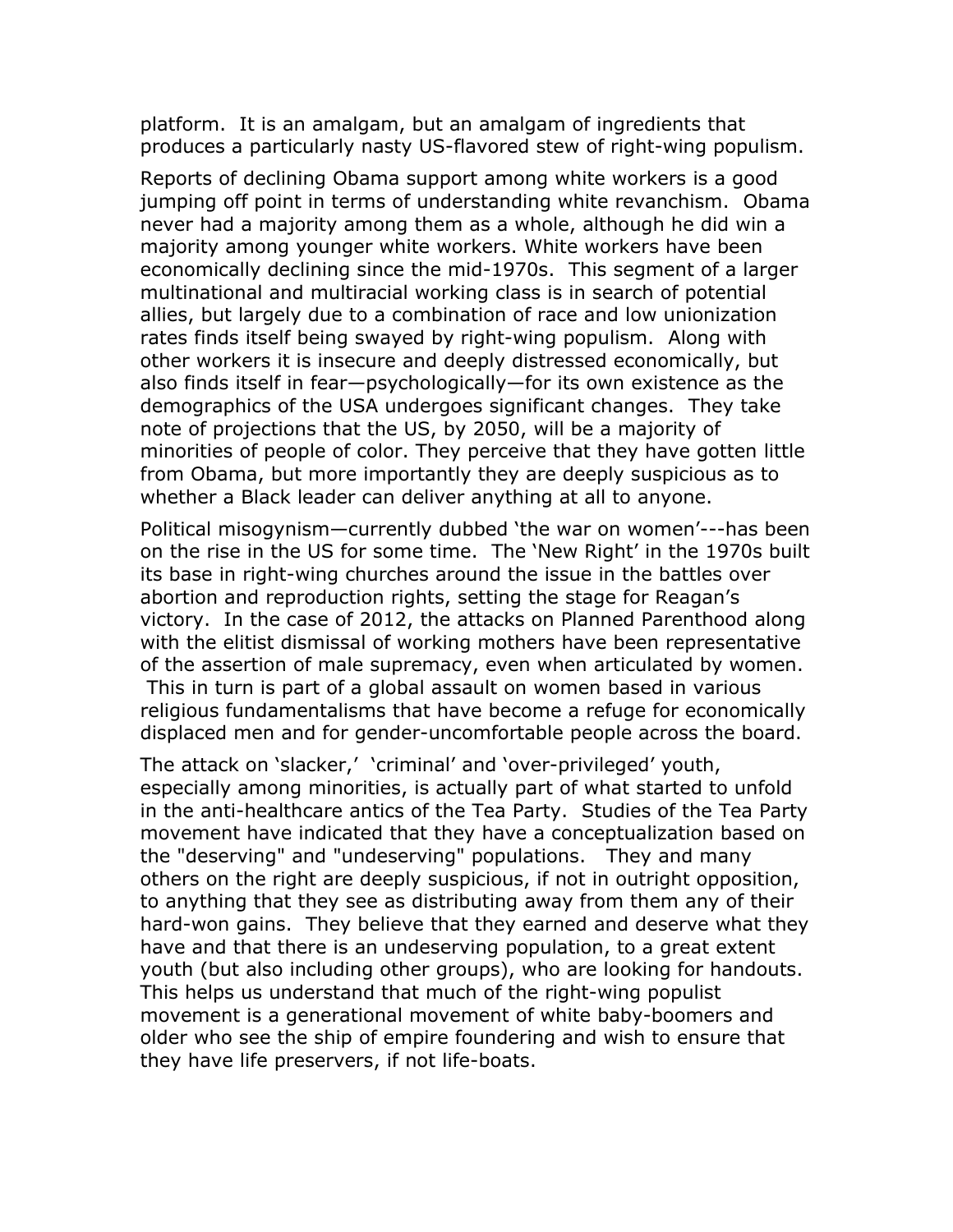platform. It is an amalgam, but an amalgam of ingredients that produces a particularly nasty US-flavored stew of right-wing populism.

Reports of declining Obama support among white workers is a good jumping off point in terms of understanding white revanchism. Obama never had a majority among them as a whole, although he did win a majority among younger white workers. White workers have been economically declining since the mid-1970s. This segment of a larger multinational and multiracial working class is in search of potential allies, but largely due to a combination of race and low unionization rates finds itself being swayed by right-wing populism. Along with other workers it is insecure and deeply distressed economically, but also finds itself in fear—psychologically—for its own existence as the demographics of the USA undergoes significant changes. They take note of projections that the US, by 2050, will be a majority of minorities of people of color. They perceive that they have gotten little from Obama, but more importantly they are deeply suspicious as to whether a Black leader can deliver anything at all to anyone.

Political misogynism—currently dubbed 'the war on women'---has been on the rise in the US for some time. The 'New Right' in the 1970s built its base in right-wing churches around the issue in the battles over abortion and reproduction rights, setting the stage for Reagan's victory. In the case of 2012, the attacks on Planned Parenthood along with the elitist dismissal of working mothers have been representative of the assertion of male supremacy, even when articulated by women. This in turn is part of a global assault on women based in various religious fundamentalisms that have become a refuge for economically displaced men and for gender-uncomfortable people across the board.

The attack on 'slacker,' 'criminal' and 'over-privileged' youth, especially among minorities, is actually part of what started to unfold in the anti-healthcare antics of the Tea Party. Studies of the Tea Party movement have indicated that they have a conceptualization based on the "deserving" and "undeserving" populations. They and many others on the right are deeply suspicious, if not in outright opposition, to anything that they see as distributing away from them any of their hard-won gains. They believe that they earned and deserve what they have and that there is an undeserving population, to a great extent youth (but also including other groups), who are looking for handouts. This helps us understand that much of the right-wing populist movement is a generational movement of white baby-boomers and older who see the ship of empire foundering and wish to ensure that they have life preservers, if not life-boats.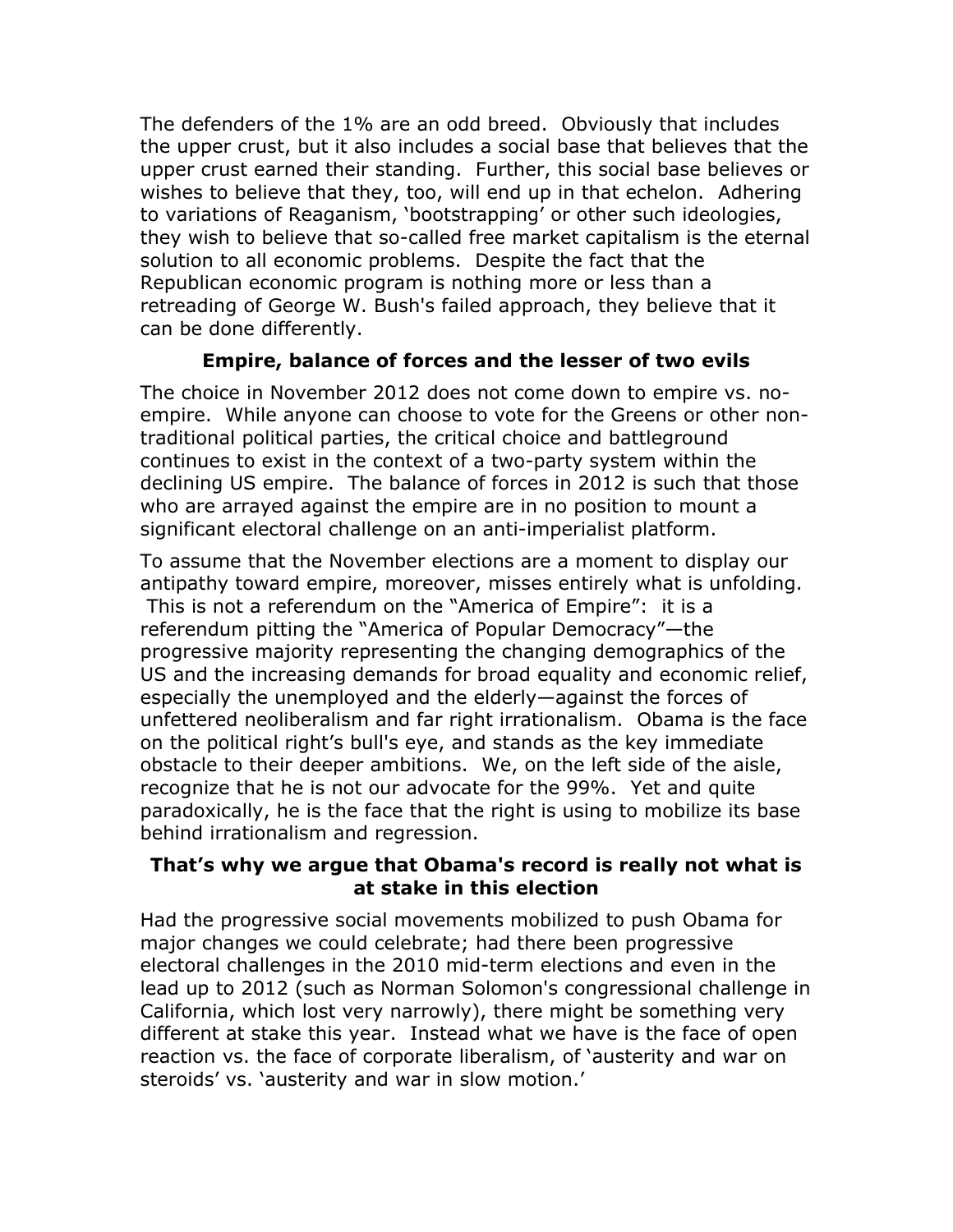The defenders of the 1% are an odd breed. Obviously that includes the upper crust, but it also includes a social base that believes that the upper crust earned their standing. Further, this social base believes or wishes to believe that they, too, will end up in that echelon. Adhering to variations of Reaganism, 'bootstrapping' or other such ideologies, they wish to believe that so-called free market capitalism is the eternal solution to all economic problems. Despite the fact that the Republican economic program is nothing more or less than a retreading of George W. Bush's failed approach, they believe that it can be done differently.

### **Empire, balance of forces and the lesser of two evils**

The choice in November 2012 does not come down to empire vs. noempire. While anyone can choose to vote for the Greens or other nontraditional political parties, the critical choice and battleground continues to exist in the context of a two-party system within the declining US empire. The balance of forces in 2012 is such that those who are arrayed against the empire are in no position to mount a significant electoral challenge on an anti-imperialist platform.

To assume that the November elections are a moment to display our antipathy toward empire, moreover, misses entirely what is unfolding. This is not a referendum on the "America of Empire": it is a referendum pitting the "America of Popular Democracy"—the progressive majority representing the changing demographics of the US and the increasing demands for broad equality and economic relief, especially the unemployed and the elderly—against the forces of unfettered neoliberalism and far right irrationalism. Obama is the face on the political right's bull's eye, and stands as the key immediate obstacle to their deeper ambitions. We, on the left side of the aisle, recognize that he is not our advocate for the 99%. Yet and quite paradoxically, he is the face that the right is using to mobilize its base behind irrationalism and regression.

#### **That's why we argue that Obama's record is really not what is at stake in this election**

Had the progressive social movements mobilized to push Obama for major changes we could celebrate; had there been progressive electoral challenges in the 2010 mid-term elections and even in the lead up to 2012 (such as Norman Solomon's congressional challenge in California, which lost very narrowly), there might be something very different at stake this year. Instead what we have is the face of open reaction vs. the face of corporate liberalism, of 'austerity and war on steroids' vs. 'austerity and war in slow motion.'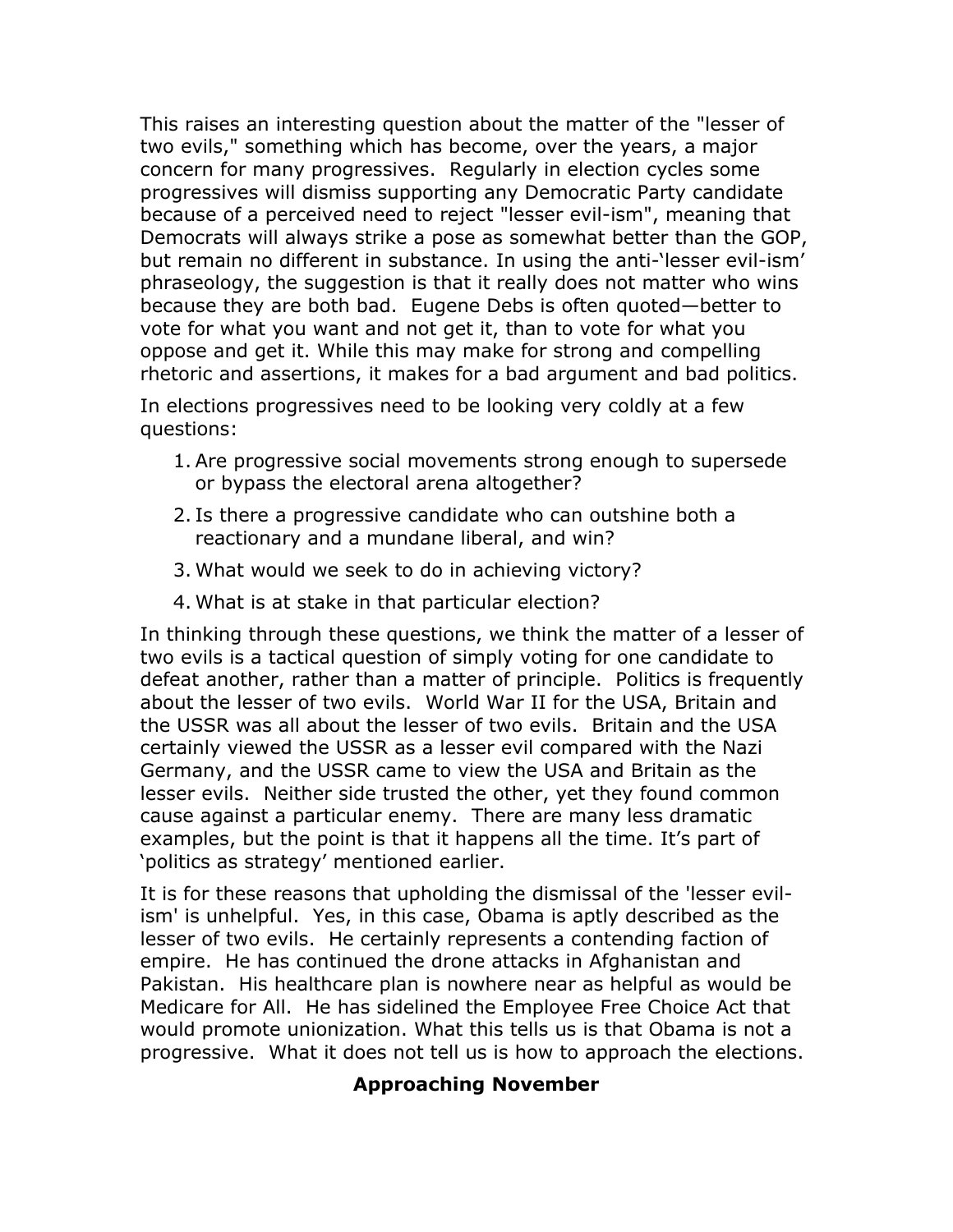This raises an interesting question about the matter of the "lesser of two evils," something which has become, over the years, a major concern for many progressives. Regularly in election cycles some progressives will dismiss supporting any Democratic Party candidate because of a perceived need to reject "lesser evil-ism", meaning that Democrats will always strike a pose as somewhat better than the GOP, but remain no different in substance. In using the anti-'lesser evil-ism' phraseology, the suggestion is that it really does not matter who wins because they are both bad. Eugene Debs is often quoted—better to vote for what you want and not get it, than to vote for what you oppose and get it. While this may make for strong and compelling rhetoric and assertions, it makes for a bad argument and bad politics.

In elections progressives need to be looking very coldly at a few questions:

- 1. Are progressive social movements strong enough to supersede or bypass the electoral arena altogether?
- 2. Is there a progressive candidate who can outshine both a reactionary and a mundane liberal, and win?
- 3. What would we seek to do in achieving victory?
- 4. What is at stake in that particular election?

In thinking through these questions, we think the matter of a lesser of two evils is a tactical question of simply voting for one candidate to defeat another, rather than a matter of principle. Politics is frequently about the lesser of two evils. World War II for the USA, Britain and the USSR was all about the lesser of two evils. Britain and the USA certainly viewed the USSR as a lesser evil compared with the Nazi Germany, and the USSR came to view the USA and Britain as the lesser evils. Neither side trusted the other, yet they found common cause against a particular enemy. There are many less dramatic examples, but the point is that it happens all the time. It's part of 'politics as strategy' mentioned earlier.

It is for these reasons that upholding the dismissal of the 'lesser evilism' is unhelpful. Yes, in this case, Obama is aptly described as the lesser of two evils. He certainly represents a contending faction of empire. He has continued the drone attacks in Afghanistan and Pakistan. His healthcare plan is nowhere near as helpful as would be Medicare for All. He has sidelined the Employee Free Choice Act that would promote unionization. What this tells us is that Obama is not a progressive. What it does not tell us is how to approach the elections.

## **Approaching November**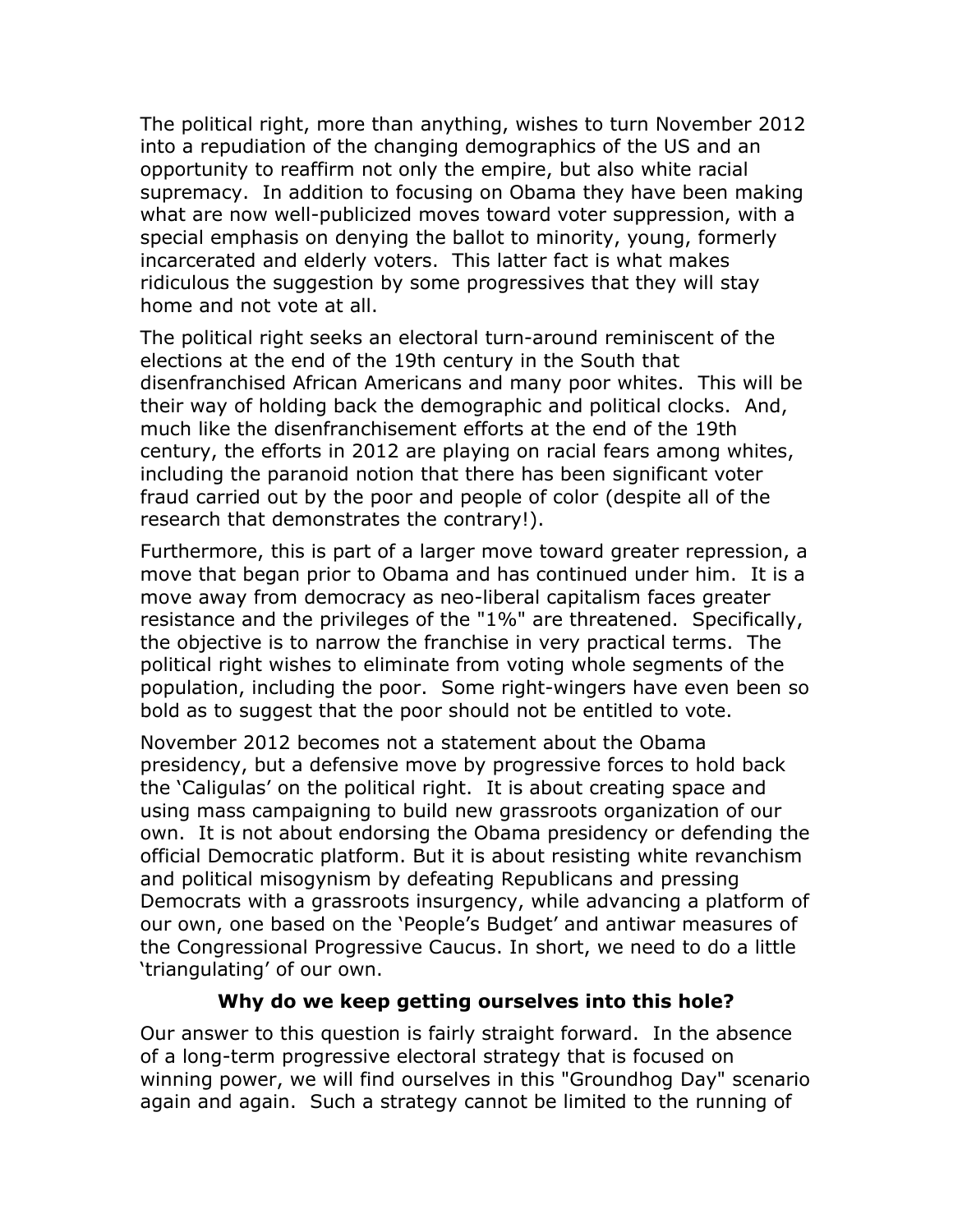The political right, more than anything, wishes to turn November 2012 into a repudiation of the changing demographics of the US and an opportunity to reaffirm not only the empire, but also white racial supremacy. In addition to focusing on Obama they have been making what are now well-publicized moves toward voter suppression, with a special emphasis on denying the ballot to minority, young, formerly incarcerated and elderly voters. This latter fact is what makes ridiculous the suggestion by some progressives that they will stay home and not vote at all.

The political right seeks an electoral turn-around reminiscent of the elections at the end of the 19th century in the South that disenfranchised African Americans and many poor whites. This will be their way of holding back the demographic and political clocks. And, much like the disenfranchisement efforts at the end of the 19th century, the efforts in 2012 are playing on racial fears among whites, including the paranoid notion that there has been significant voter fraud carried out by the poor and people of color (despite all of the research that demonstrates the contrary!).

Furthermore, this is part of a larger move toward greater repression, a move that began prior to Obama and has continued under him. It is a move away from democracy as neo-liberal capitalism faces greater resistance and the privileges of the "1%" are threatened. Specifically, the objective is to narrow the franchise in very practical terms. The political right wishes to eliminate from voting whole segments of the population, including the poor. Some right-wingers have even been so bold as to suggest that the poor should not be entitled to vote.

November 2012 becomes not a statement about the Obama presidency, but a defensive move by progressive forces to hold back the 'Caligulas' on the political right. It is about creating space and using mass campaigning to build new grassroots organization of our own. It is not about endorsing the Obama presidency or defending the official Democratic platform. But it is about resisting white revanchism and political misogynism by defeating Republicans and pressing Democrats with a grassroots insurgency, while advancing a platform of our own, one based on the 'People's Budget' and antiwar measures of the Congressional Progressive Caucus. In short, we need to do a little 'triangulating' of our own.

### **Why do we keep getting ourselves into this hole?**

Our answer to this question is fairly straight forward. In the absence of a long-term progressive electoral strategy that is focused on winning power, we will find ourselves in this "Groundhog Day" scenario again and again. Such a strategy cannot be limited to the running of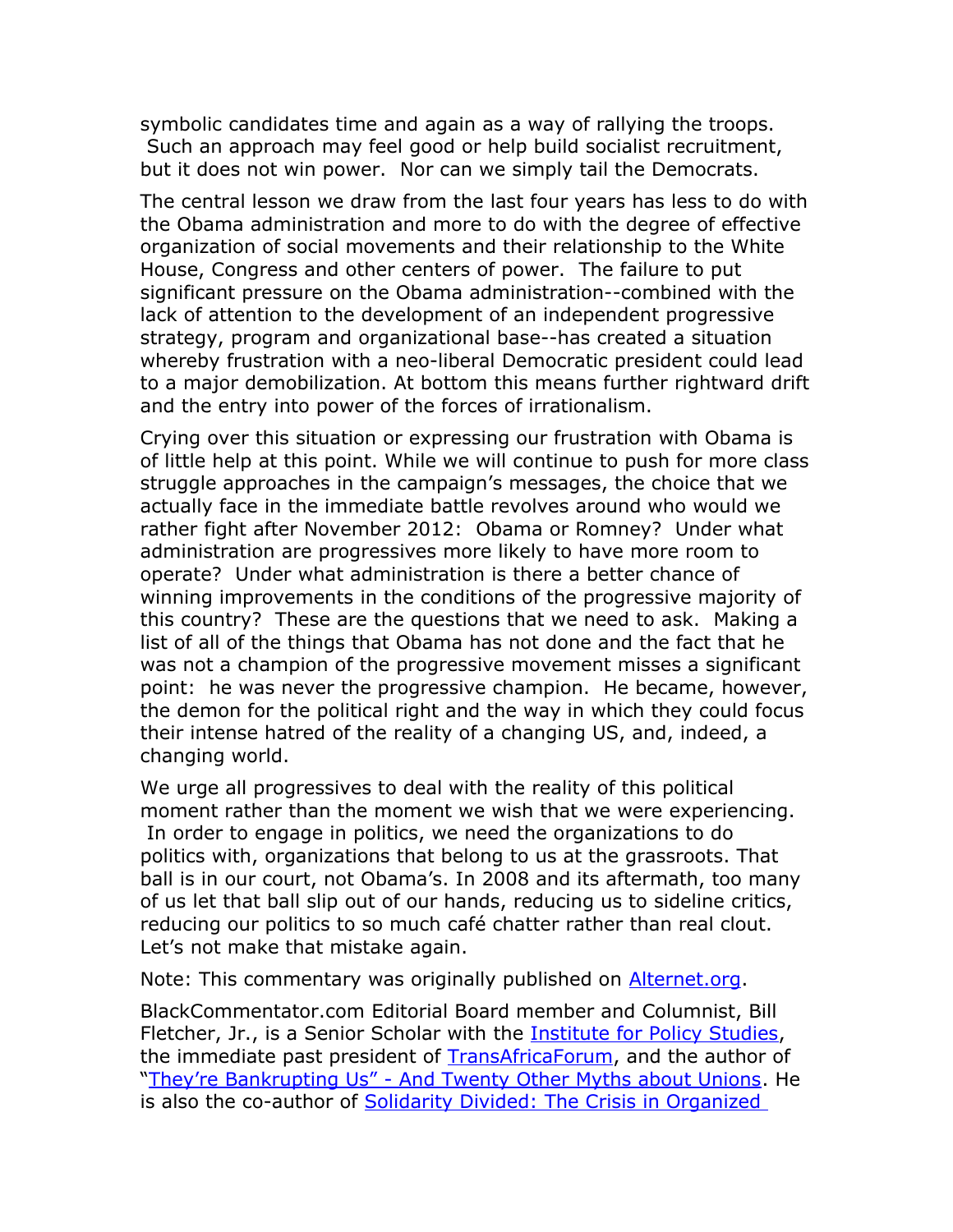symbolic candidates time and again as a way of rallying the troops. Such an approach may feel good or help build socialist recruitment, but it does not win power. Nor can we simply tail the Democrats.

The central lesson we draw from the last four years has less to do with the Obama administration and more to do with the degree of effective organization of social movements and their relationship to the White House, Congress and other centers of power. The failure to put significant pressure on the Obama administration--combined with the lack of attention to the development of an independent progressive strategy, program and organizational base--has created a situation whereby frustration with a neo-liberal Democratic president could lead to a major demobilization. At bottom this means further rightward drift and the entry into power of the forces of irrationalism.

Crying over this situation or expressing our frustration with Obama is of little help at this point. While we will continue to push for more class struggle approaches in the campaign's messages, the choice that we actually face in the immediate battle revolves around who would we rather fight after November 2012: Obama or Romney? Under what administration are progressives more likely to have more room to operate? Under what administration is there a better chance of winning improvements in the conditions of the progressive majority of this country? These are the questions that we need to ask. Making a list of all of the things that Obama has not done and the fact that he was not a champion of the progressive movement misses a significant point: he was never the progressive champion. He became, however, the demon for the political right and the way in which they could focus their intense hatred of the reality of a changing US, and, indeed, a changing world.

We urge all progressives to deal with the reality of this political moment rather than the moment we wish that we were experiencing. In order to engage in politics, we need the organizations to do politics with, organizations that belong to us at the grassroots. That ball is in our court, not Obama's. In 2008 and its aftermath, too many of us let that ball slip out of our hands, reducing us to sideline critics, reducing our politics to so much café chatter rather than real clout. Let's not make that mistake again.

Note: This commentary was originally published on [Alternet.org.](http://www.alternet.org/election-2012/2012-elections-have-little-do-obamas-record-which-why-we-are-voting-him)

BlackCommentator.com Editorial Board member and Columnist, Bill Fletcher, Jr., is a Senior Scholar with the [Institute for Policy Studies,](http://www.ips-dc.org/) the immediate past president of **TransAfricaForum**, and the author of ["They're Bankrupting Us" - And Twenty Other Myths about Unions.](http://www.blackcommentator.com/beacon_press_fletcher.html) He is also the co-author of Solidarity Divided: The Crisis in Organized